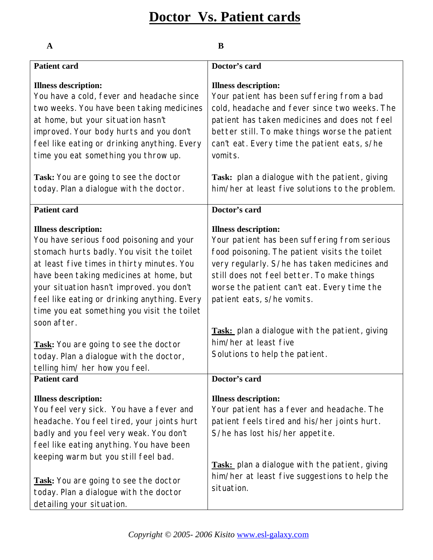# **Doctor Vs. Patient cards**

| $\mathbf A$                                                                                                                                                                                                                                                                                                                                                                                                                                                                                    | B                                                                                                                                                                                                                                                                                                                                                                                                                    |
|------------------------------------------------------------------------------------------------------------------------------------------------------------------------------------------------------------------------------------------------------------------------------------------------------------------------------------------------------------------------------------------------------------------------------------------------------------------------------------------------|----------------------------------------------------------------------------------------------------------------------------------------------------------------------------------------------------------------------------------------------------------------------------------------------------------------------------------------------------------------------------------------------------------------------|
| <b>Patient card</b>                                                                                                                                                                                                                                                                                                                                                                                                                                                                            | Doctor's card                                                                                                                                                                                                                                                                                                                                                                                                        |
| <b>Illness description:</b><br>You have a cold, fever and headache since<br>two weeks. You have been taking medicines<br>at home, but your situation hasn't<br>improved. Your body hurts and you don't<br>feel like eating or drinking anything. Every<br>time you eat something you throw up.                                                                                                                                                                                                 | <b>Illness description:</b><br>Your patient has been suffering from a bad<br>cold, headache and fever since two weeks. The<br>patient has taken medicines and does not feel<br>better still. To make things worse the patient<br>can't eat. Every time the patient eats, s/he<br>vomits.                                                                                                                             |
| Task: You are going to see the doctor<br>today. Plan a dialogue with the doctor.                                                                                                                                                                                                                                                                                                                                                                                                               | Task: plan a dialogue with the patient, giving<br>him/her at least five solutions to the problem.                                                                                                                                                                                                                                                                                                                    |
| <b>Patient card</b>                                                                                                                                                                                                                                                                                                                                                                                                                                                                            | Doctor's card                                                                                                                                                                                                                                                                                                                                                                                                        |
| <b>Illness description:</b><br>You have serious food poisoning and your<br>stomach hurts badly. You visit the toilet<br>at least five times in thirty minutes. You<br>have been taking medicines at home, but<br>your situation hasn't improved. you don't<br>feel like eating or drinking anything. Every<br>time you eat something you visit the toilet<br>soon after.<br>Task: You are going to see the doctor<br>today. Plan a dialogue with the doctor,<br>telling him/ her how you feel. | <b>Illness description:</b><br>Your patient has been suffering from serious<br>food poisoning. The patient visits the toilet<br>very regularly. S/he has taken medicines and<br>still does not feel better. To make things<br>worse the patient can't eat. Every time the<br>patient eats, s/he vomits.<br>Task: plan a dialogue with the patient, giving<br>him/her at least five<br>Solutions to help the patient. |
| <b>Patient card</b>                                                                                                                                                                                                                                                                                                                                                                                                                                                                            | Doctor's card                                                                                                                                                                                                                                                                                                                                                                                                        |
| <b>Illness description:</b><br>You feel very sick. You have a fever and<br>headache. You feel tired, your joints hurt<br>badly and you feel very weak. You don't<br>feel like eating anything. You have been<br>keeping warm but you still feel bad.<br>Task: You are going to see the doctor<br>today. Plan a dialogue with the doctor<br>detailing your situation.                                                                                                                           | <b>Illness description:</b><br>Your patient has a fever and headache. The<br>patient feels tired and his/her joints hurt.<br>S/he has lost his/her appetite.<br>Task: plan a dialogue with the patient, giving<br>him/her at least five suggestions to help the<br>situation.                                                                                                                                        |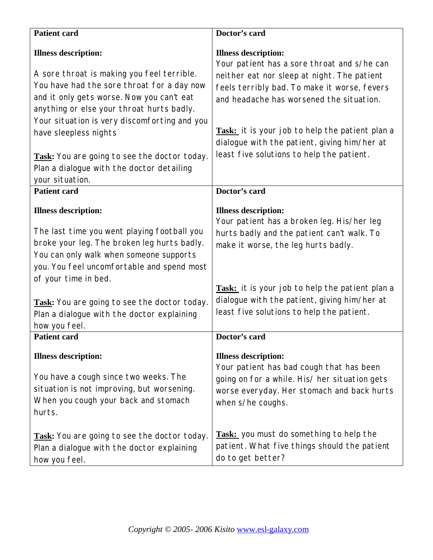| <b>Patient card</b>                                                                                                                                                                                                                                                                                                                                                                                        | Doctor's card                                                                                                                                                                                                                                                                                                                                                         |
|------------------------------------------------------------------------------------------------------------------------------------------------------------------------------------------------------------------------------------------------------------------------------------------------------------------------------------------------------------------------------------------------------------|-----------------------------------------------------------------------------------------------------------------------------------------------------------------------------------------------------------------------------------------------------------------------------------------------------------------------------------------------------------------------|
| <b>Illness description:</b><br>A sore throat is making you feel terrible.<br>You have had the sore throat for a day now<br>and it only gets worse. Now you can't eat<br>anything or else your throat hurts badly.<br>Your situation is very discomforting and you<br>have sleepless nights<br>Task: You are going to see the doctor today.<br>Plan a dialogue with the doctor detailing<br>your situation. | <b>Illness description:</b><br>Your patient has a sore throat and s/he can<br>neither eat nor sleep at night. The patient<br>feels terribly bad. To make it worse, fevers<br>and headache has worsened the situation.<br>Task: it is your job to help the patient plan a<br>dialogue with the patient, giving him/her at<br>least five solutions to help the patient. |
| <b>Patient card</b>                                                                                                                                                                                                                                                                                                                                                                                        | Doctor's card                                                                                                                                                                                                                                                                                                                                                         |
| <b>Illness description:</b><br>The last time you went playing football you<br>broke your leg. The broken leg hurts badly.<br>You can only walk when someone supports<br>you. You feel uncomfortable and spend most<br>of your time in bed.<br>Task: You are going to see the doctor today.<br>Plan a dialogue with the doctor explaining<br>how you feel.                                                  | <b>Illness description:</b><br>Your patient has a broken leg. His/her leg<br>hurts badly and the patient can't walk. To<br>make it worse, the leg hurts badly.<br>Task: it is your job to help the patient plan a<br>dialogue with the patient, giving him/her at<br>least five solutions to help the patient.                                                        |
| <b>Patient card</b><br><b>Illness description:</b><br>You have a cough since two weeks. The<br>situation is not improving, but worsening.<br>When you cough your back and stomach<br>hurts.<br>Task: You are going to see the doctor today.<br>Plan a dialogue with the doctor explaining<br>how you feel.                                                                                                 | Doctor's card<br><b>Illness description:</b><br>Your patient has bad cough that has been<br>going on for a while. His/ her situation gets<br>worse everyday. Her stomach and back hurts<br>when s/he coughs.<br><b>Task:</b> you must do something to help the<br>patient. What five things should the patient<br>do to get better?                                   |